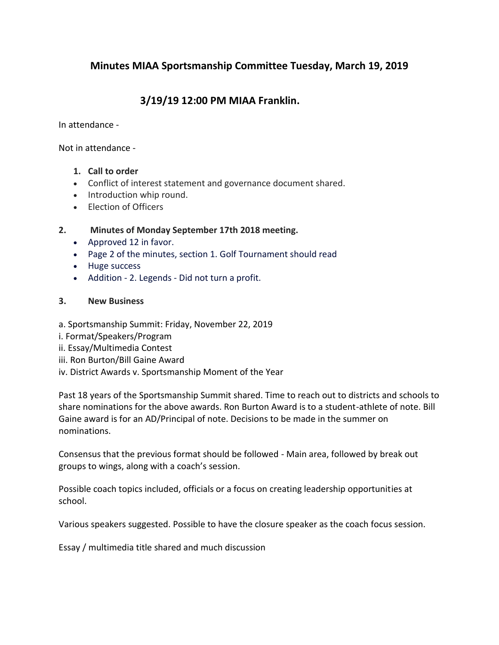# **Minutes MIAA Sportsmanship Committee Tuesday, March 19, 2019**

# **3/19/19 12:00 PM MIAA Franklin.**

In attendance -

Not in attendance -

- **1. Call to order**
- Conflict of interest statement and governance document shared.
- Introduction whip round.
- Election of Officers

## **2. Minutes of Monday September 17th 2018 meeting.**

- Approved 12 in favor.
- Page 2 of the minutes, section 1. Golf Tournament should read
- Huge success
- Addition 2. Legends Did not turn a profit.

#### **3. New Business**

- a. Sportsmanship Summit: Friday, November 22, 2019
- i. Format/Speakers/Program
- ii. Essay/Multimedia Contest
- iii. Ron Burton/Bill Gaine Award
- iv. District Awards v. Sportsmanship Moment of the Year

Past 18 years of the Sportsmanship Summit shared. Time to reach out to districts and schools to share nominations for the above awards. Ron Burton Award is to a student-athlete of note. Bill Gaine award is for an AD/Principal of note. Decisions to be made in the summer on nominations.

Consensus that the previous format should be followed - Main area, followed by break out groups to wings, along with a coach's session.

Possible coach topics included, officials or a focus on creating leadership opportunities at school.

Various speakers suggested. Possible to have the closure speaker as the coach focus session.

Essay / multimedia title shared and much discussion